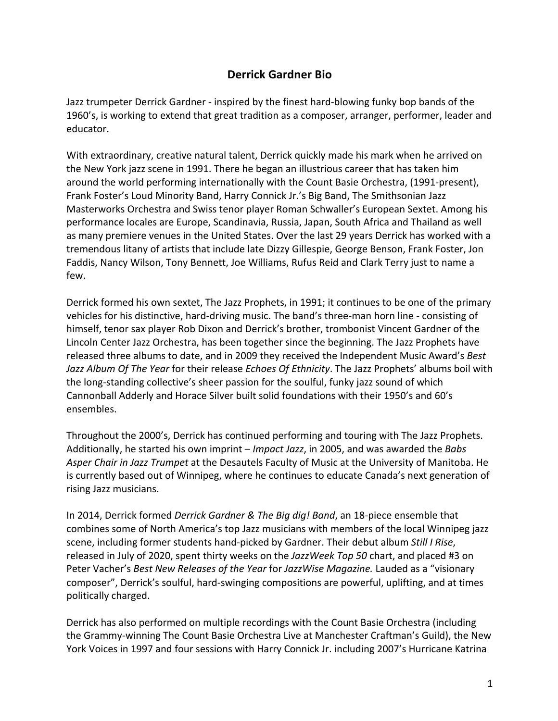## **Derrick Gardner Bio**

Jazz trumpeter Derrick Gardner - inspired by the finest hard-blowing funky bop bands of the 1960's, is working to extend that great tradition as a composer, arranger, performer, leader and educator.

With extraordinary, creative natural talent, Derrick quickly made his mark when he arrived on the New York jazz scene in 1991. There he began an illustrious career that has taken him around the world performing internationally with the Count Basie Orchestra, (1991-present), Frank Foster's Loud Minority Band, Harry Connick Jr.'s Big Band, The Smithsonian Jazz Masterworks Orchestra and Swiss tenor player Roman Schwaller's European Sextet. Among his performance locales are Europe, Scandinavia, Russia, Japan, South Africa and Thailand as well as many premiere venues in the United States. Over the last 29 years Derrick has worked with a tremendous litany of artists that include late Dizzy Gillespie, George Benson, Frank Foster, Jon Faddis, Nancy Wilson, Tony Bennett, Joe Williams, Rufus Reid and Clark Terry just to name a few.

Derrick formed his own sextet, The Jazz Prophets, in 1991; it continues to be one of the primary vehicles for his distinctive, hard-driving music. The band's three-man horn line - consisting of himself, tenor sax player Rob Dixon and Derrick's brother, trombonist Vincent Gardner of the Lincoln Center Jazz Orchestra, has been together since the beginning. The Jazz Prophets have released three albums to date, and in 2009 they received the Independent Music Award's *Best Jazz Album Of The Year* for their release *Echoes Of Ethnicity*. The Jazz Prophets' albums boil with the long-standing collective's sheer passion for the soulful, funky jazz sound of which Cannonball Adderly and Horace Silver built solid foundations with their 1950's and 60's ensembles.

Throughout the 2000's, Derrick has continued performing and touring with The Jazz Prophets. Additionally, he started his own imprint – *Impact Jazz*, in 2005, and was awarded the *Babs Asper Chair in Jazz Trumpet* at the Desautels Faculty of Music at the University of Manitoba. He is currently based out of Winnipeg, where he continues to educate Canada's next generation of rising Jazz musicians.

In 2014, Derrick formed *Derrick Gardner & The Big dig! Band*, an 18-piece ensemble that combines some of North America's top Jazz musicians with members of the local Winnipeg jazz scene, including former students hand-picked by Gardner. Their debut album *Still I Rise*, released in July of 2020, spent thirty weeks on the *JazzWeek Top 50* chart, and placed #3 on Peter Vacher's *Best New Releases of the Year* for *JazzWise Magazine.* Lauded as a "visionary composer", Derrick's soulful, hard-swinging compositions are powerful, uplifting, and at times politically charged.

Derrick has also performed on multiple recordings with the Count Basie Orchestra (including the Grammy-winning The Count Basie Orchestra Live at Manchester Craftman's Guild), the New York Voices in 1997 and four sessions with Harry Connick Jr. including 2007's Hurricane Katrina